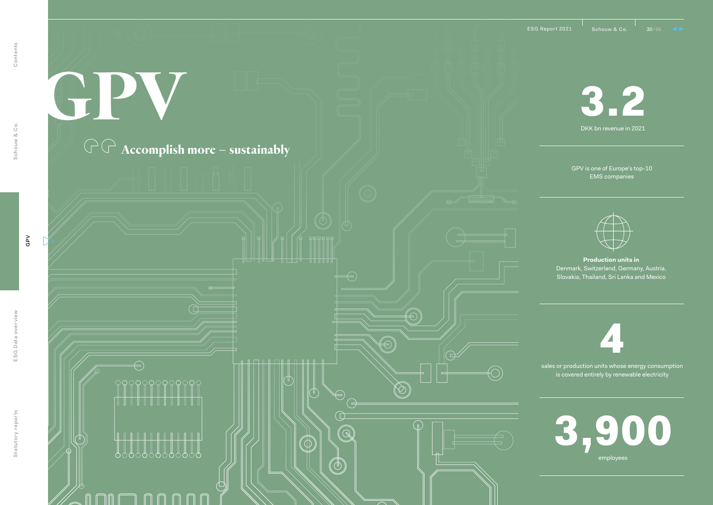9999999999999

 $\overline{\Theta}$ 

000000000000

∩ n

**GPV**

**Accomplish more – sustainably**

<u>╛╛╢┧┧┧╢┈╢╁┧┧╜┈╢╫╫╫</u>╢

. . . <del>. . . . . . . . . . . . . .</del>

 $\circledD$ 

Ģ

 $\bigoplus$  $\overline{\bigoplus}$ 

 $\widehat{\mathbb{Q}}$ 

3.2 DKK bn revenue in 2021

GPV is one of Europe's top-10 EMS companies



**Production units in**  Denmark, Switzerland, Germany, Austria, Slovakia, Thailand, Sri Lanka and Mexico

4

sales or production units whose energy consumption is covered entirely by renewable electricity

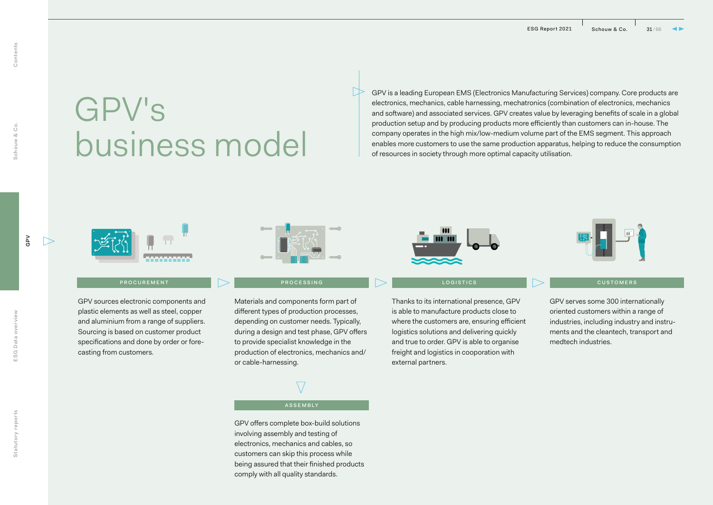# GPV's business model

GPV is a leading European EMS (Electronics Manufacturing Services) company. Core products are electronics, mechanics, cable harnessing, mechatronics (combination of electronics, mechanics and software) and associated services. GPV creates value by leveraging benefits of scale in a global production setup and by producing products more efficiently than customers can in-house. The company operates in the high mix/low-medium volume part of the EMS segment. This approach enables more customers to use the same production apparatus, helping to reduce the consumption of resources in society through more optimal capacity utilisation.

GPV

Schouw & Co. Contents

Schouw & Co.

Contents



GPV sources electronic components and plastic elements as well as steel, copper and aluminium from a range of suppliers. Sourcing is based on customer product specifications and done by order or forecasting from customers.



▷

PROCUREMENT **PROCESSING** 

Materials and components form part of different types of production processes, depending on customer needs. Typically, during a design and test phase, GPV offers to provide specialist knowledge in the production of electronics, mechanics and/ or cable-harnessing.



### ASSEMBLY

GPV offers complete box-build solutions involving assembly and testing of electronics, mechanics and cables, so customers can skip this process while being assured that their finished products comply with all quality standards.



Thanks to its international presence, GPV is able to manufacture products close to where the customers are, ensuring efficient logistics solutions and delivering quickly and true to order. GPV is able to organise freight and logistics in cooporation with external partners.



### LOGISTICS **Development of the Customers**

GPV serves some 300 internationally oriented customers within a range of industries, including industry and instruments and the cleantech, transport and medtech industries.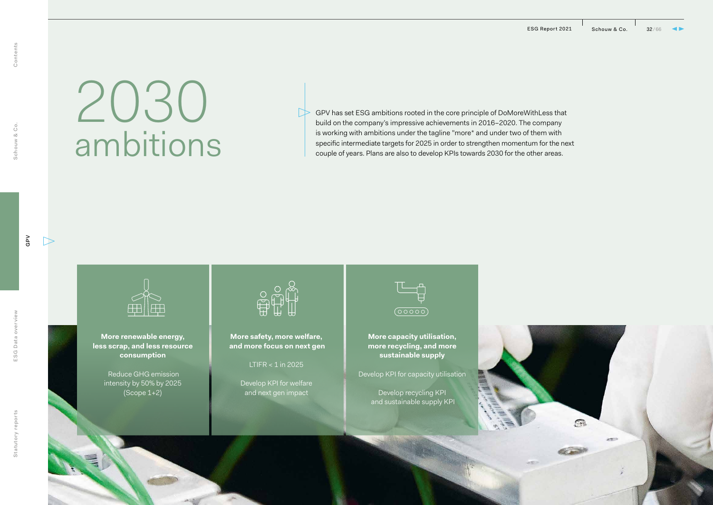$\widehat{m}$ 

into<sup>1</sup>

# 2030 ambitions

GPV has set ESG ambitions rooted in the core principle of DoMoreWithLess that build on the company's impressive achievements in 2016–2020. The company is working with ambitions under the tagline "more\* and under two of them with specific intermediate targets for 2025 in order to strengthen momentum for the next couple of years. Plans are also to develop KPIs towards 2030 for the other areas.



**More renewable energy, less scrap, and less resource consumption**

> Reduce GHG emission intensity by 50% by 2025 (Scope 1+2)



**More safety, more welfare, and more focus on next gen** 

LTIFR  $<$  1 in 2025

Develop KPI for welfare and next gen impact



**More capacity utilisation, more recycling, and more sustainable supply** 

Develop KPI for capacity utilisation

Develop recycling KPI and sustainable supply KPI

 $\triangleright$ 

Schouw & Co.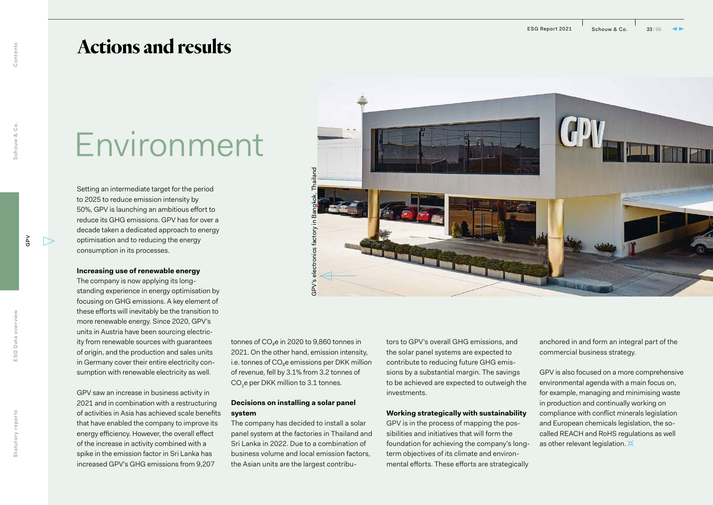## **Actions and results**

## Environment

Setting an intermediate target for the period to 2025 to reduce emission intensity by 50%, GPV is launching an ambitious effort to reduce its GHG emissions. GPV has for over a decade taken a dedicated approach to energy optimisation and to reducing the energy consumption in its processes.

### **Increasing use of renewable energy**

The company is now applying its longstanding experience in energy optimisation by focusing on GHG emissions. A key element of these efforts will inevitably be the transition to more renewable energy. Since 2020, GPV's units in Austria have been sourcing electricity from renewable sources with guarantees of origin, and the production and sales units in Germany cover their entire electricity consumption with renewable electricity as well.

GPV saw an increase in business activity in 2021 and in combination with a restructuring of activities in Asia has achieved scale benefits that have enabled the company to improve its energy efficiency. However, the overall effect of the increase in activity combined with a spike in the emission factor in Sri Lanka has increased GPV's GHG emissions from 9,207

tonnes of CO<sub>2</sub>e in 2020 to 9,860 tonnes in 2021. On the other hand, emission intensity, i.e. tonnes of CO₂e emissions per DKK million of revenue, fell by 3.1% from 3.2 tonnes of  $\mathrm{CO}_2$ e per DKK million to 3.1 tonnes.

GPV's electronics factory in Bangkok, Thailand

electronics factory in

spv's

### **Decisions on installing a solar panel system**

The company has decided to install a solar panel system at the factories in Thailand and Sri Lanka in 2022. Due to a combination of business volume and local emission factors, the Asian units are the largest contributors to GPV's overall GHG emissions, and the solar panel systems are expected to contribute to reducing future GHG emissions by a substantial margin. The savings to be achieved are expected to outweigh the investments.

### **Working strategically with sustainability**

GPV is in the process of mapping the possibilities and initiatives that will form the foundation for achieving the company's longterm objectives of its climate and environmental efforts. These efforts are strategically

commercial business strategy.

GPV is also focused on a more comprehensive environmental agenda with a main focus on, for example, managing and minimising waste in production and continually working on compliance with conflict minerals legislation and European chemicals legislation, the socalled REACH and RoHS regulations as well as other relevant legislation.  $\mathbb{X}$ 

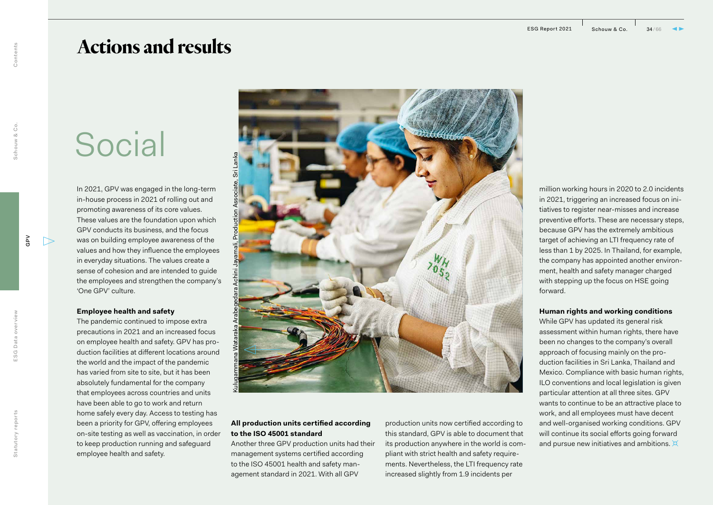## **Actions and results**

# Social

In 2021, GPV was engaged in the long-term in-house process in 2021 of rolling out and promoting awareness of its core values. These values are the foundation upon which GPV conducts its business, and the focus was on building employee awareness of the values and how they influence the employees in everyday situations. The values create a sense of cohesion and are intended to guide the employees and strengthen the company's 'One GPV' culture.

### **Employee health and safety**

The pandemic continued to impose extra precautions in 2021 and an increased focus on employee health and safety. GPV has production facilities at different locations around the world and the impact of the pandemic has varied from site to site, but it has been absolutely fundamental for the company that employees across countries and units have been able to go to work and return home safely every day. Access to testing has been a priority for GPV, offering employees on-site testing as well as vaccination, in order to keep production running and safeguard employee health and safety.



### **All production units certified according to the ISO 45001 standard**

Another three GPV production units had their management systems certified according to the ISO 45001 health and safety management standard in 2021. With all GPV

production units now certified according to this standard, GPV is able to document that its production anywhere in the world is compliant with strict health and safety requirements. Nevertheless, the LTI frequency rate increased slightly from 1.9 incidents per

million working hours in 2020 to 2.0 incidents in 2021, triggering an increased focus on initiatives to register near-misses and increase preventive efforts. These are necessary steps, because GPV has the extremely ambitious target of achieving an LTI frequency rate of less than 1 by 2025. In Thailand, for example, the company has appointed another environment, health and safety manager charged with stepping up the focus on HSE going forward.

### **Human rights and working conditions**

While GPV has updated its general risk assessment within human rights, there have been no changes to the company's overall approach of focusing mainly on the production facilities in Sri Lanka, Thailand and Mexico. Compliance with basic human rights, ILO conventions and local legislation is given particular attention at all three sites. GPV wants to continue to be an attractive place to work, and all employees must have decent and well-organised working conditions. GPV will continue its social efforts going forward and pursue new initiatives and ambitions.  $\boxtimes$